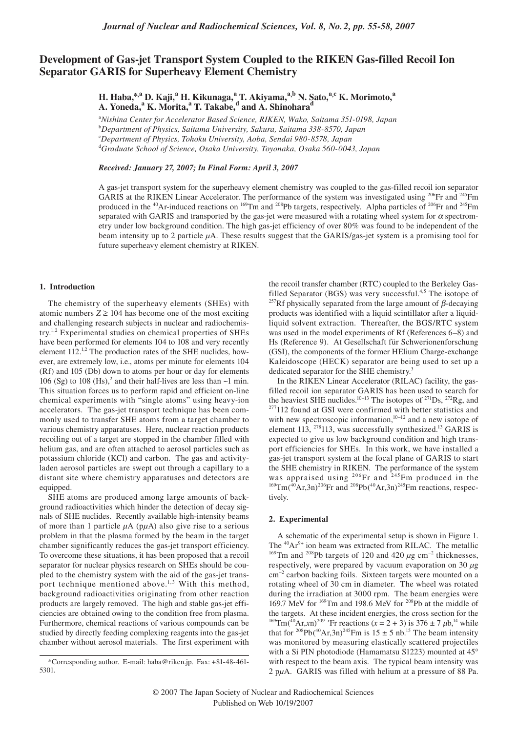# **Development of Gas-jet Transport System Coupled to the RIKEN Gas-filled Recoil Ion Separator GARIS for Superheavy Element Chemistry**

**H. Haba,\*,<sup>a</sup> D. Kaji,<sup>a</sup> H. Kikunaga,<sup>a</sup> T. Akiyama,a,b N. Sato,a,c K. Morimoto,<sup>a</sup> A. Yoneda,<sup>a</sup> K. Morita,<sup>a</sup> T. Takabe,<sup>d</sup> and A. Shinoharad**

a *Nishina Center for Accelerator Based Science, RIKEN, Wako, Saitama 351-0198, Japan* b *Department of Physics, Saitama University, Sakura, Saitama 338-8570, Japan* c *Department of Physics, Tohoku University, Aoba, Sendai 980-8578, Japan* d *Graduate School of Science, Osaka University, Toyonaka, Osaka 560-0043, Japan*

*Received: January 27, 2007; In Final Form: April 3, 2007*

A gas-jet transport system for the superheavy element chemistry was coupled to the gas-filled recoil ion separator GARIS at the RIKEN Linear Accelerator. The performance of the system was investigated using <sup>206</sup>Fr and <sup>245</sup>Fm produced in the <sup>40</sup>Ar-induced reactions on <sup>169</sup>Tm and <sup>208</sup>Pb targets, respectively. Alpha particles of <sup>206</sup>Fr and <sup>245</sup>Fm separated with GARIS and transported by the gas-jet were measured with a rotating wheel system for  $\alpha$  spectrometry under low background condition. The high gas-jet efficiency of over 80% was found to be independent of the beam intensity up to 2 particle *µ*A. These results suggest that the GARIS/gas-jet system is a promising tool for future superheavy element chemistry at RIKEN.

### **1. Introduction**

The chemistry of the superheavy elements (SHEs) with atomic numbers  $Z \ge 104$  has become one of the most exciting and challenging research subjects in nuclear and radiochemistry.1,2 Experimental studies on chemical properties of SHEs have been performed for elements 104 to 108 and very recently element  $112$ <sup>1,2</sup> The production rates of the SHE nuclides, however, are extremely low, i.e., atoms per minute for elements 104 (Rf) and 105 (Db) down to atoms per hour or day for elements 106 (Sg) to 108 (Hs),<sup>2</sup> and their half-lives are less than  $\sim$ 1 min. This situation forces us to perform rapid and efficient on-line chemical experiments with "single atoms" using heavy-ion accelerators. The gas-jet transport technique has been commonly used to transfer SHE atoms from a target chamber to various chemistry apparatuses. Here, nuclear reaction products recoiling out of a target are stopped in the chamber filled with helium gas, and are often attached to aerosol particles such as potassium chloride (KCl) and carbon. The gas and activityladen aerosol particles are swept out through a capillary to a distant site where chemistry apparatuses and detectors are equipped.

SHE atoms are produced among large amounts of background radioactivities which hinder the detection of decay signals of SHE nuclides. Recently available high-intensity beams of more than 1 particle *µ*A (p*µ*A) also give rise to a serious problem in that the plasma formed by the beam in the target chamber significantly reduces the gas-jet transport efficiency. To overcome these situations, it has been proposed that a recoil separator for nuclear physics research on SHEs should be coupled to the chemistry system with the aid of the gas-jet transport technique mentioned above.<sup>1,3</sup> With this method, background radioactivities originating from other reaction products are largely removed. The high and stable gas-jet efficiencies are obtained owing to the condition free from plasma. Furthermore, chemical reactions of various compounds can be studied by directly feeding complexing reagents into the gas-jet chamber without aerosol materials. The first experiment with the recoil transfer chamber (RTC) coupled to the Berkeley Gasfilled Separator (BGS) was very successful.<sup>4,5</sup> The isotope of <sup>257</sup>Rf physically separated from the large amount of β-decaying products was identified with a liquid scintillator after a liquidliquid solvent extraction. Thereafter, the BGS/RTC system was used in the model experiments of Rf (References 6–8) and Hs (Reference 9). At Gesellschaft für Schwerionenforschung (GSI), the components of the former HElium Charge-exchange Kaleidoscope (HECK) separator are being used to set up a dedicated separator for the SHE chemistry.<sup>3</sup>

In the RIKEN Linear Accelerator (RILAC) facility, the gasfilled recoil ion separator GARIS has been used to search for the heaviest SHE nuclides.<sup>10–13</sup> The isotopes of <sup>271</sup>Ds, <sup>272</sup>Rg, and <sup>277</sup>112 found at GSI were confirmed with better statistics and with new spectroscopic information,<sup>10-12</sup> and a new isotope of element 113,  $^{278}$ 113, was successfully synthesized.<sup>13</sup> GARIS is expected to give us low background condition and high transport efficiencies for SHEs. In this work, we have installed a gas-jet transport system at the focal plane of GARIS to start the SHE chemistry in RIKEN. The performance of the system was appraised using  $^{206}$ Fr and  $^{245}$ Fm produced in the  $^{169}$ Tm( $^{40}$ Ar,3n)<sup>206</sup>Fr and <sup>208</sup>Pb( $^{40}$ Ar,3n)<sup>245</sup>Fm reactions, respec-tively.

### **2. Experimental**

A schematic of the experimental setup is shown in Figure 1. The <sup>40</sup>Ar<sup>9+</sup> ion beam was extracted from RILAC. The metallic <sup>169</sup>Tm and <sup>208</sup>Pb targets of 120 and 420  $\mu$ g cm<sup>-2</sup> thicknesses, respectively, were prepared by vacuum evaporation on 30 *µ*g cm–2 carbon backing foils. Sixteen targets were mounted on a rotating wheel of 30 cm in diameter. The wheel was rotated during the irradiation at 3000 rpm. The beam energies were 169.7 MeV for 169Tm and 198.6 MeV for 208Pb at the middle of the targets. At these incident energies, the cross section for the <sup>169</sup>Tm(<sup>40</sup>Ar,*x*n)<sup>209-*x*</sup>Fr reactions (*x* = 2 + 3) is 376 ± 7  $\mu$ b,<sup>14</sup> while that for <sup>208</sup>Pb(<sup>40</sup>Ar,3n)<sup>245</sup>Fm is 15  $\pm$  5 nb.<sup>15</sup> The beam intensity was monitored by measuring elastically scattered projectiles with a Si PIN photodiode (Hamamatsu S1223) mounted at 45° with respect to the beam axis. The typical beam intensity was 2 p*µ*A. GARIS was filled with helium at a pressure of 88 Pa.

<sup>\*</sup>Corresponding author. E-mail: haba@riken.jp. Fax: +81-48-461- 5301.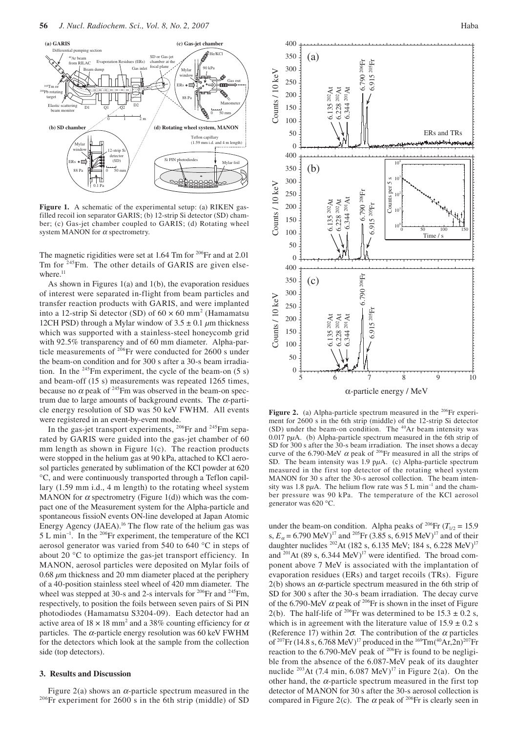

**Figure 1.** A schematic of the experimental setup: (a) RIKEN gasfilled recoil ion separator GARIS; (b) 12-strip Si detector (SD) chamber; (c) Gas-jet chamber coupled to GARIS; (d) Rotating wheel system MANON for  $\alpha$  spectrometry.

The magnetic rigidities were set at 1.64 Tm for <sup>206</sup>Fr and at 2.01 Tm for <sup>245</sup>Fm. The other details of GARIS are given elsewhere.<sup>11</sup>

As shown in Figures 1(a) and 1(b), the evaporation residues of interest were separated in-flight from beam particles and transfer reaction products with GARIS, and were implanted into a 12-strip Si detector (SD) of  $60 \times 60$  mm<sup>2</sup> (Hamamatsu 12CH PSD) through a Mylar window of  $3.5 \pm 0.1 \mu$ m thickness which was supported with a stainless-steel honeycomb grid with 92.5% transparency and of 60 mm diameter. Alpha-particle measurements of <sup>206</sup>Fr were conducted for 2600 s under the beam-on condition and for 300 s after a 30-s beam irradiation. In the  $245$ Fm experiment, the cycle of the beam-on (5 s) and beam-off (15 s) measurements was repeated 1265 times, because no  $\alpha$  peak of <sup>245</sup>Fm was observed in the beam-on spectrum due to large amounts of background events. The  $\alpha$ -particle energy resolution of SD was 50 keV FWHM. All events were registered in an event-by-event mode.

In the gas-jet transport experiments, <sup>206</sup>Fr and <sup>245</sup>Fm separated by GARIS were guided into the gas-jet chamber of 60 mm length as shown in Figure  $1(c)$ . The reaction products were stopped in the helium gas at 90 kPa, attached to KCl aerosol particles generated by sublimation of the KCl powder at 620 °C, and were continuously transported through a Teflon capillary (1.59 mm i.d., 4 m length) to the rotating wheel system MANON for  $\alpha$  spectrometry (Figure 1(d)) which was the compact one of the Measurement system for the Alpha-particle and spontaneous fissioN events ON-line developed at Japan Atomic Energy Agency (JAEA).16 The flow rate of the helium gas was 5 L min<sup>-1</sup>. In the <sup>206</sup>Fr experiment, the temperature of the KCl aerosol generator was varied from 540 to 640 °C in steps of about 20 °C to optimize the gas-jet transport efficiency. In MANON, aerosol particles were deposited on Mylar foils of 0.68 *µ*m thickness and 20 mm diameter placed at the periphery of a 40-position stainless steel wheel of 420 mm diameter. The wheel was stepped at 30-s and 2-s intervals for <sup>206</sup>Fr and <sup>245</sup>Fm, respectively, to position the foils between seven pairs of Si PIN photodiodes (Hamamatsu S3204-09). Each detector had an active area of  $18 \times 18$  mm<sup>2</sup> and a 38% counting efficiency for  $\alpha$ particles. The  $\alpha$ -particle energy resolution was 60 keV FWHM for the detectors which look at the sample from the collection side (top detectors).

## **3. Results and Discussion**

Figure 2(a) shows an  $\alpha$ -particle spectrum measured in the <sup>206</sup>Fr experiment for 2600 s in the 6th strip (middle) of SD



Figure 2. (a) Alpha-particle spectrum measured in the <sup>206</sup>Fr experiment for 2600 s in the 6th strip (middle) of the 12-strip Si detector  $(SD)$  under the beam-on condition. The  $40Ar$  beam intensity was 0.017 p*µ*A. (b) Alpha-particle spectrum measured in the 6th strip of SD for 300 s after the 30-s beam irradiation. The inset shows a decay curve of the 6.790-MeV  $\alpha$  peak of <sup>206</sup>Fr measured in all the strips of SD. The beam intensity was 1.9 p*µ*A. (c) Alpha-particle spectrum measured in the first top detector of the rotating wheel system MANON for 30 s after the 30-s aerosol collection. The beam intensity was 1.8 p $\mu$ A. The helium flow rate was 5 L min<sup>-1</sup> and the chamber pressure was 90 kPa. The temperature of the KCl aerosol generator was 620 °C.

under the beam-on condition. Alpha peaks of <sup>206</sup>Fr ( $T_{1/2}$  = 15.9 s,  $E_\alpha$  = 6.790 MeV)<sup>17</sup> and <sup>205</sup>Fr (3.85 s, 6.915 MeV)<sup>17</sup> and of their daughter nuclides <sup>202</sup>At (182 s, 6.135 MeV; 184 s, 6.228 MeV)<sup>17</sup> and  $201$ At (89 s, 6.344 MeV)<sup>17</sup> were identified. The broad component above 7 MeV is associated with the implantation of evaporation residues (ERs) and target recoils (TRs). Figure  $2(b)$  shows an  $\alpha$ -particle spectrum measured in the 6th strip of SD for 300 s after the 30-s beam irradiation. The decay curve of the 6.790-MeV  $\alpha$  peak of <sup>206</sup>Fr is shown in the inset of Figure 2(b). The half-life of <sup>206</sup>Fr was determined to be  $15.3 \pm 0.2$  s, which is in agreement with the literature value of  $15.9 \pm 0.2$  s (Reference 17) within  $2\sigma$ . The contribution of the  $\alpha$  particles of <sup>207</sup>Fr (14.8 s, 6.768 MeV)<sup>17</sup> produced in the <sup>169</sup>Tm(<sup>40</sup>Ar,2n)<sup>207</sup>Fr reaction to the  $6.790$ -MeV peak of <sup>206</sup>Fr is found to be negligible from the absence of the 6.087-MeV peak of its daughter nuclide <sup>203</sup>At (7.4 min,  $6.087$  MeV)<sup>17</sup> in Figure 2(a). On the other hand, the  $\alpha$ -particle spectrum measured in the first top detector of MANON for 30 s after the 30-s aerosol collection is compared in Figure 2(c). The  $\alpha$  peak of <sup>206</sup>Fr is clearly seen in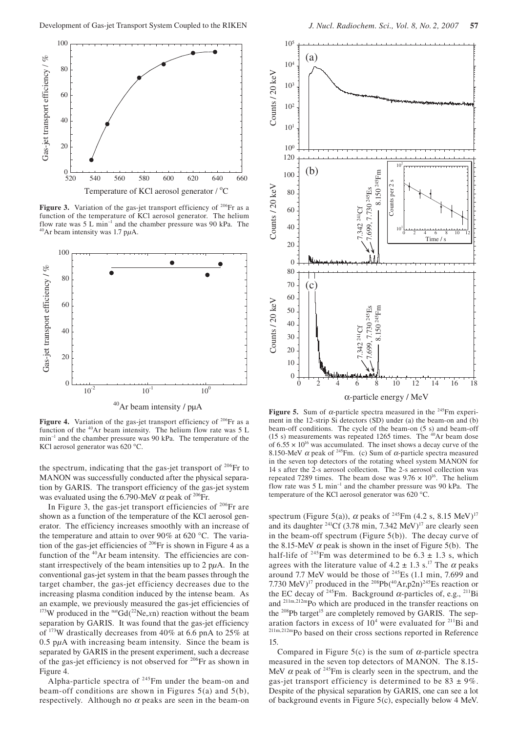

**Figure 3.** Variation of the gas-jet transport efficiency of  $206$ Fr as a function of the temperature of KCl aerosol generator. The helium flow rate was 5 L min<sup>-1</sup> and the chamber pressure was 90 kPa. The <sup>40</sup>Ar beam intensity was 1.7 p $\mu$ A.



Figure 4. Variation of the gas-jet transport efficiency of <sup>206</sup>Fr as a function of the 40Ar beam intensity. The helium flow rate was 5 L  $min^{-1}$  and the chamber pressure was 90 kPa. The temperature of the KCl aerosol generator was 620 °C.

the spectrum, indicating that the gas-jet transport of  $206$  Fr to MANON was successfully conducted after the physical separation by GARIS. The transport efficiency of the gas-jet system was evaluated using the 6.790-MeV  $\alpha$  peak of <sup>206</sup>Fr.

In Figure 3, the gas-jet transport efficiencies of  $206$ Fr are shown as a function of the temperature of the KCl aerosol generator. The efficiency increases smoothly with an increase of the temperature and attain to over 90% at 620 °C. The variation of the gas-jet efficiencies of  $206$ Fr is shown in Figure 4 as a function of the <sup>40</sup>Ar beam intensity. The efficiencies are constant irrespectively of the beam intensities up to 2 p*µ*A. In the conventional gas-jet system in that the beam passes through the target chamber, the gas-jet efficiency decreases due to the increasing plasma condition induced by the intense beam. As an example, we previously measured the gas-jet efficiencies of <sup>173</sup>W produced in the  $n \cdot \text{Gd}(2^2N \cdot \text{C}, x)$  reaction without the beam separation by GARIS. It was found that the gas-jet efficiency of 173W drastically decreases from 40% at 6.6 pnA to 25% at 0.5 p*µ*A with increasing beam intensity. Since the beam is separated by GARIS in the present experiment, such a decrease of the gas-jet efficiency is not observed for 206Fr as shown in Figure 4.

Alpha-particle spectra of <sup>245</sup>Fm under the beam-on and beam-off conditions are shown in Figures 5(a) and 5(b), respectively. Although no  $\alpha$  peaks are seen in the beam-on



**Figure 5.** Sum of  $\alpha$ -particle spectra measured in the <sup>245</sup>Fm experiment in the 12-strip Si detectors (SD) under (a) the beam-on and (b) beam-off conditions. The cycle of the beam-on (5 s) and beam-off (15 s) measurements was repeated 1265 times. The  $40$ Ar beam dose of  $6.55 \times 10^{16}$  was accumulated. The inset shows a decay curve of the 8.150-MeV  $\alpha$  peak of <sup>245</sup>Fm. (c) Sum of  $\alpha$ -particle spectra measured in the seven top detectors of the rotating wheel system MANON for 14 s after the 2-s aerosol collection. The 2-s aerosol collection was repeated 7289 times. The beam dose was  $9.76 \times 10^{16}$ . The helium flow rate was 5 L min–1 and the chamber pressure was 90 kPa. The temperature of the KCl aerosol generator was 620 °C.

spectrum (Figure 5(a)),  $\alpha$  peaks of <sup>245</sup>Fm (4.2 s, 8.15 MeV)<sup>17</sup> and its daughter  $^{241}$ Cf (3.78 min, 7.342 MeV)<sup>17</sup> are clearly seen in the beam-off spectrum (Figure 5(b)). The decay curve of the 8.15-MeV  $\alpha$  peak is shown in the inset of Figure 5(b). The half-life of <sup>245</sup>Fm was determined to be  $6.3 \pm 1.3$  s, which agrees with the literature value of  $4.2 \pm 1.3$  s.<sup>17</sup> The  $\alpha$  peaks around 7.7 MeV would be those of 245Es (1.1 min, 7.699 and 7.730 MeV)<sup>17</sup> produced in the <sup>208</sup>Pb(<sup>40</sup>Ar,p2n)<sup>245</sup>Es reaction or the EC decay of <sup>245</sup>Fm. Background  $\alpha$ -particles of, e.g., <sup>211</sup>Bi and 211m,212mPo which are produced in the transfer reactions on the <sup>208</sup>Pb target<sup>15</sup> are completely removed by GARIS. The separation factors in excess of  $10<sup>4</sup>$  were evaluated for  $^{211}$ Bi and 211m,212mPo based on their cross sections reported in Reference 15.

Compared in Figure 5(c) is the sum of  $\alpha$ -particle spectra measured in the seven top detectors of MANON. The 8.15- MeV  $\alpha$  peak of <sup>245</sup>Fm is clearly seen in the spectrum, and the gas-jet transport efficiency is determined to be  $83 \pm 9\%$ . Despite of the physical separation by GARIS, one can see a lot of background events in Figure 5(c), especially below 4 MeV.